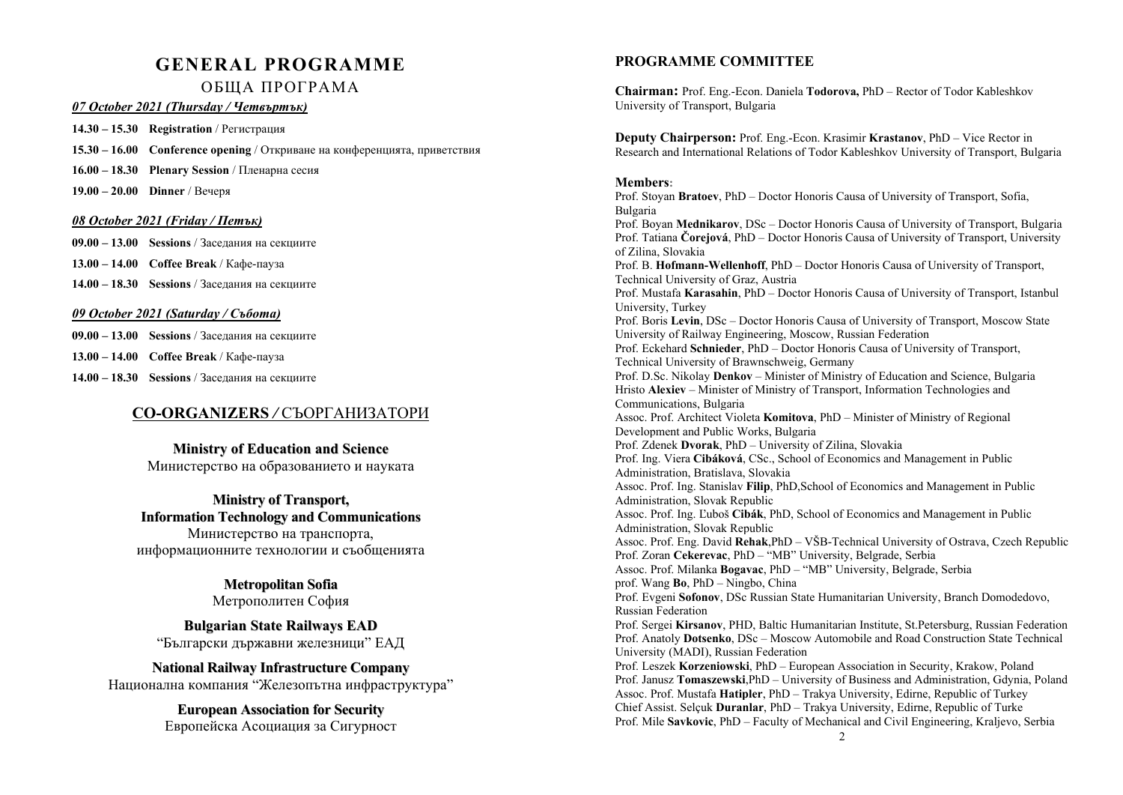# **GENERAL PROGRAMME** ОБЩА ПРОГРАМА

### *07 October 2021 (Thursday / Четвъртък)*

**14.30 – 15.30 Registration** / Регистрация

**15.30 – 16.00 Conference opening** / Откриване на конференцията, приветствия

**16.00 – 18.30 Plenary Session** / Пленарна сесия

**19.00 – 20.00 Dinner** / Вечеря

### *08 October 2021 (Friday / Петък)*

**09.00 – 13.00 Sessions** / Заседания на секциите

**13.00 – 14.00 Coffee Break** / Кафе-пауза

**14.00 – 18.30 Sessions** / Заседания на секциите

### *09 October 2021 (Saturday / Събота)*

**09.00 – 13.00 Sessions** / Заседания на секциите

- **13.00 14.00 Coffee Break** / Кафе-пауза
- **14.00 18.30 Sessions** / Заседания на секциите

## **CO-ORGANIZERS** */* СЪОРГАНИЗАТОРИ

**Ministry of E d ucatio n a n d Science**

Министерство на образованието и науката

## **Ministry of Tra nsp ort, Informatio nTechnolo g y a ndCo mmunicatio ns**

Министерство на транспорта, информационните технологии и съобщенията

> **Metro p olitа nSofia** Метрополитен София

**Bulg aria nState Railwa ys E AD**"Български държавни железници" ЕАД

## **Natio n al Railwa y Infrastructure C o mp a ny**

Национална компания "Железопътна инфраструктура"

**E uro pea n Associatio n for Security** Европейска Асоциация за Сигурност 2

## **PROGRAMME COMMITTEE**

**Chairman:** Prof. Eng.-Econ. Daniela **Todorova,** PhD – Rector of Todor Kableshkov University of Transport, Bulgaria

**Deputy Chairperson:** Prof. Eng.-Econ. Krasimir **Krastanov**, PhD – Vice Rector in Research and International Relations of Todor Kableshkov University of Transport, Bulgaria

### **Members:**

Prof. Stoyan **Bratoev**, PhD – Doctor Honoris Causa of University of Transport, Sofia, Bulgaria Prof. Boyan **Mednikarov**, DSc – Doctor Honoris Causa of University of Transport, Bulgaria Prof. Tatiana **Čorejová**, PhD – Doctor Honoris Causa of University of Transport, University of Zilina, Slovakia Prof. B. **Hofmann-Wellenhoff**, PhD – Doctor Honoris Causa of University of Transport, Technical University of Graz, Austria Prof. Mustafa **Karasahin**, PhD – Doctor Honoris Causa of University of Transport, Istanbul University, Turkey Prof. Boris **Levin**, DSc – Doctor Honoris Causa of University of Transport, Moscow State University of Railway Engineering, Moscow, Russian Federation Prof. Eckehard **Schnieder**, PhD – Doctor Honoris Causa of University of Transport, Technical University of Brawnschweig, Germany Prof. D.Sc. Nikolay **Denkov** – Minister of Ministry of Education and Science, Bulgaria Hristo **Alexiev** – Minister of Ministry of Transport, Information Technologies and Communications, Bulgaria Assoc. Prof. Architect Violeta **Komitova**, PhD – Minister of Ministry of Regional Development and Public Works, Bulgaria Prof. Zdenek **Dvorak**, PhD – University of Zilina, Slovakia Prof. Ing. Viera **Cibáková**, CSc., School of Economics and Management in Public Administration, Bratislava, Slovakia Assoc. Prof. Ing. Stanislav **Filip**, PhD,School of Economics and Management in Public Administration, Slovak Republic Assoc. Prof. Ing. Ľuboš **Cibák**, PhD, School of Economics and Management in Public Administration, Slovak Republic Assoc. Prof. Eng. David **Rehak**,PhD – VŠB-Technical University of Ostrava, Czech Republic Prof. Zoran **Cekerevac**, PhD – "MB" University, Belgrade, Serbia Assoc. Prof. Milanka **Bogavac**, PhD – "MB" University, Belgrade, Serbia prof. Wang **Bo**, PhD – Ningbo, China Prof. Evgeni **Sofonov**, DSc Russian State Humanitarian University, Branch Domodedovo, Russian Federation Prof. Sergei **Kirsanov**, PHD, Baltic Humanitarian Institute, St.Petersburg, Russian Federation Prof. Anatoly **Dotsenko**, DSc – Moscow Automobile and Road Construction State Technical University (MADI), Russian Federation Prof. Leszek **Korzeniowski**, PhD – European Association in Security, Krakow, Poland Prof. Janusz **Tomaszewski**,PhD – University of Business and Administration, Gdynia, Poland Assoc. Prof. Mustafa **Hatipler**, PhD – Trakya University, Edirne, Republic of Turkey Chief Assist. Selçuk **Duranlar**, PhD – Trakya University, Edirne, Republic of Turke Prof. Mile **Savkovic**, PhD – Faculty of Mechanical and Civil Engineering, Kraljevo, Serbia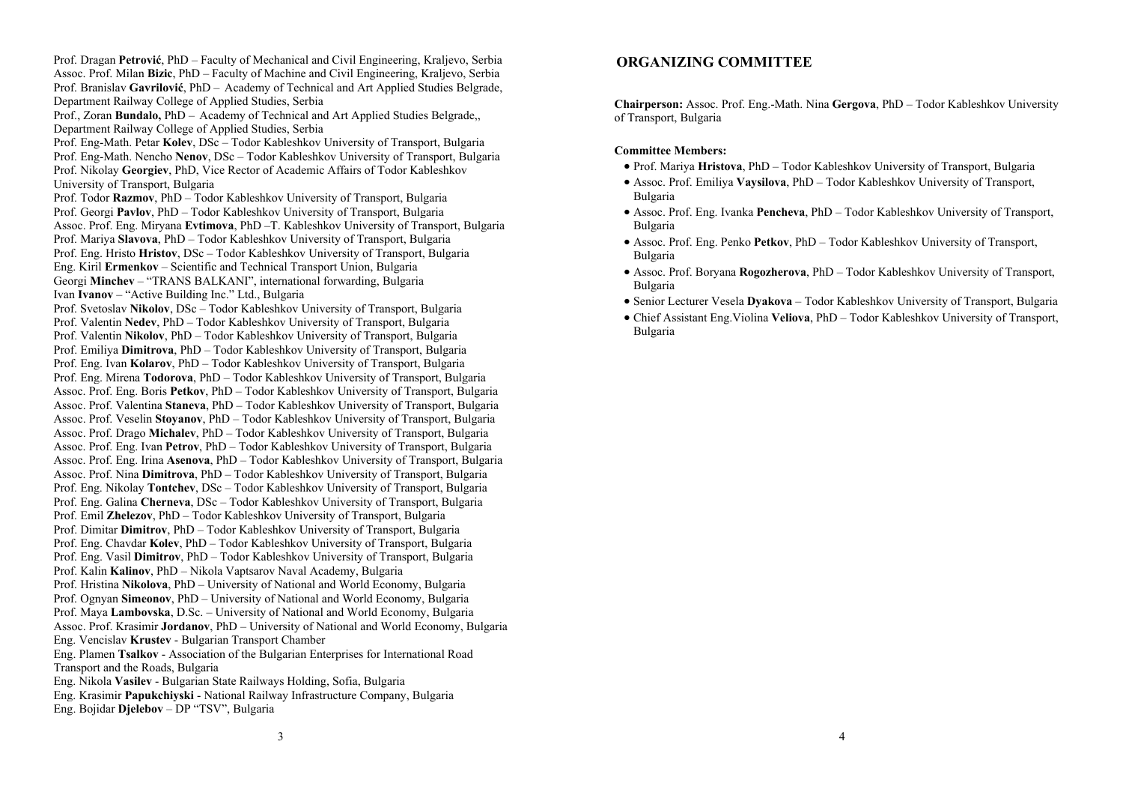Prof. Dragan **Petrović**, PhD – Faculty of Mechanical and Civil Engineering, Kraljevo, Serbia Assoc. Prof. Milan **Bizic**, PhD – Faculty of Machine and Civil Engineering, Kraljevo, Serbia Prof. Branislav **Gavrilović**, PhD – Academy of Technical and Art Applied Studies Belgrade, Department Railway College of Applied Studies, Serbia Prof., Zoran **Bundalo,** PhD – Academy of Technical and Art Applied Studies Belgrade,, Department Railway College of Applied Studies, Serbia Prof. Eng-Math. Petar **Kolev**, DSc – Todor Kableshkov University of Transport, Bulgaria Prof. Eng-Math. Nencho **Nenov**, DSc – Todor Kableshkov University of Transport, Bulgaria Prof. Nikolay **Georgiev**, PhD, Vice Rector of Academic Affairs of Todor Kableshkov University of Transport, Bulgaria Prof. Todor **Razmov**, PhD – Todor Kableshkov University of Transport, Bulgaria Prof. Georgi **Pavlov**, PhD – Todor Kableshkov University of Transport, Bulgaria Assoc. Prof. Eng. Miryana **Evtimova**, PhD –T. Kableshkov University of Transport, Bulgaria Prof. Mariya **Slavova**, PhD – Todor Kableshkov University of Transport, Bulgaria Prof. Eng. Hristo **Hristov**, DSc – Todor Kableshkov University of Transport, Bulgaria Eng. Kiril **Ermenkov** – Scientific and Technical Transport Union, Bulgaria Georgi **Minchev** – "TRANS BALKANI", international forwarding, Bulgaria Ivan **Ivanov** – "Active Building Inc." Ltd., Bulgaria Prof. Svetoslav **Nikolov**, DSc – Todor Kableshkov University of Transport, Bulgaria Prof. Valentin **Nedev**, PhD – Todor Kableshkov University of Transport, Bulgaria Prof. Valentin **Nikolov**, PhD – Todor Kableshkov University of Transport, Bulgaria Prof. Emiliya **Dimitrova**, PhD – Todor Kableshkov University of Transport, Bulgaria Prof. Eng. Ivan **Kolarov**, PhD – Todor Kableshkov University of Transport, Bulgaria Prof. Eng. Mirena **Todorova**, PhD – Todor Kableshkov University of Transport, Bulgaria Assoc. Prof. Eng. Boris **Petkov**, PhD – Todor Kableshkov University of Transport, Bulgaria Assoc. Prof. Valentina **Staneva**, PhD – Todor Kableshkov University of Transport, Bulgaria Assoc. Prof. Veselin **Stoyanov**, PhD – Todor Kableshkov University of Transport, Bulgaria Assoc. Prof. Drago **Michalev**, PhD – Todor Kableshkov University of Transport, Bulgaria Assoc. Prof. Eng. Ivan **Petrov**, PhD – Todor Kableshkov University of Transport, Bulgaria Assoc. Prof. Eng. Irina **Asenova**, PhD – Todor Kableshkov University of Transport, Bulgaria Assoc. Рrof. Nina **Dimitrova**, PhD – Todor Kableshkov University of Transport, Bulgaria Prof. Eng. Nikolay **Tontchev**, DSc – Todor Kableshkov University of Transport, Bulgaria Prof. Eng. Galina **Cherneva**, DSc – Todor Kableshkov University of Transport, Bulgaria Prof. Emil **Zhelezov**, PhD – Todor Kableshkov University of Transport, Bulgaria Prof. Dimitar **Dimitrov**, PhD – Todor Kableshkov University of Transport, Bulgaria Prof. Eng. Chavdar **Kolev**, PhD – Todor Kableshkov University of Transport, Bulgaria Prof. Eng. Vasil **Dimitrov**, PhD – Todor Kableshkov University of Transport, Bulgaria Prof. Kalin **Kalinov**, PhD – Nikola Vaptsarov Naval Academy, Bulgaria Prof. Hristina **Nikolova**, PhD – University of National and World Economy, Bulgaria Prof. Ognyan **Simeonov**, PhD – University of National and World Economy, Bulgaria Prof. Maya **Lambovska**, D.Sc. – University of National and World Economy, Bulgaria Assoc. Prof. Krasimir **Jordanov**, PhD – University of National and World Economy, Bulgaria Eng. Vencislav **Krustev** - Bulgarian Transport Chamber Eng. Plamen **Tsalkov** - Association of the Bulgarian Enterprises for International Road Transport and the Roads, Bulgaria Eng. Nikola **Vasilev** - Bulgarian State Railways Holding, Sofia, Bulgaria Eng. Krasimir **Papukchiyski** - National Railway Infrastructure Company, Bulgaria Eng. Bojidar **Djelebov** – DP "TSV", Bulgaria

## **ORGANIZING COMMITTEE**

**Chairperson:** Assoc. Prof. Eng.-Math. Nina **Gergova**, PhD – Todor Kableshkov University of Transport, Bulgaria

### **Committee Members:**

- Prof. Mariya **Hristova**, PhD Todor Kableshkov University of Transport, Bulgaria
- Assoc. Prof. Emiliya **Vaysilova**, PhD Todor Kableshkov University of Transport, Bulgaria
- Assoc. Prof. Eng. Ivanka **Pencheva**, PhD Todor Kableshkov University of Transport, Bulgaria
- Assoc. Prof. Eng. Penko **Petkov**, PhD Todor Kableshkov University of Transport, Bulgaria
- Assoc. Prof. Boryana **Rogozherova**, PhD Todor Kableshkov University of Transport, Bulgaria
- Senior Lecturer Vesela **Dyakova** Todor Kableshkov University of Transport, Bulgaria
- Chief Assistant Eng.Violina **Veliova**, PhD Todor Kableshkov University of Transport, Bulgaria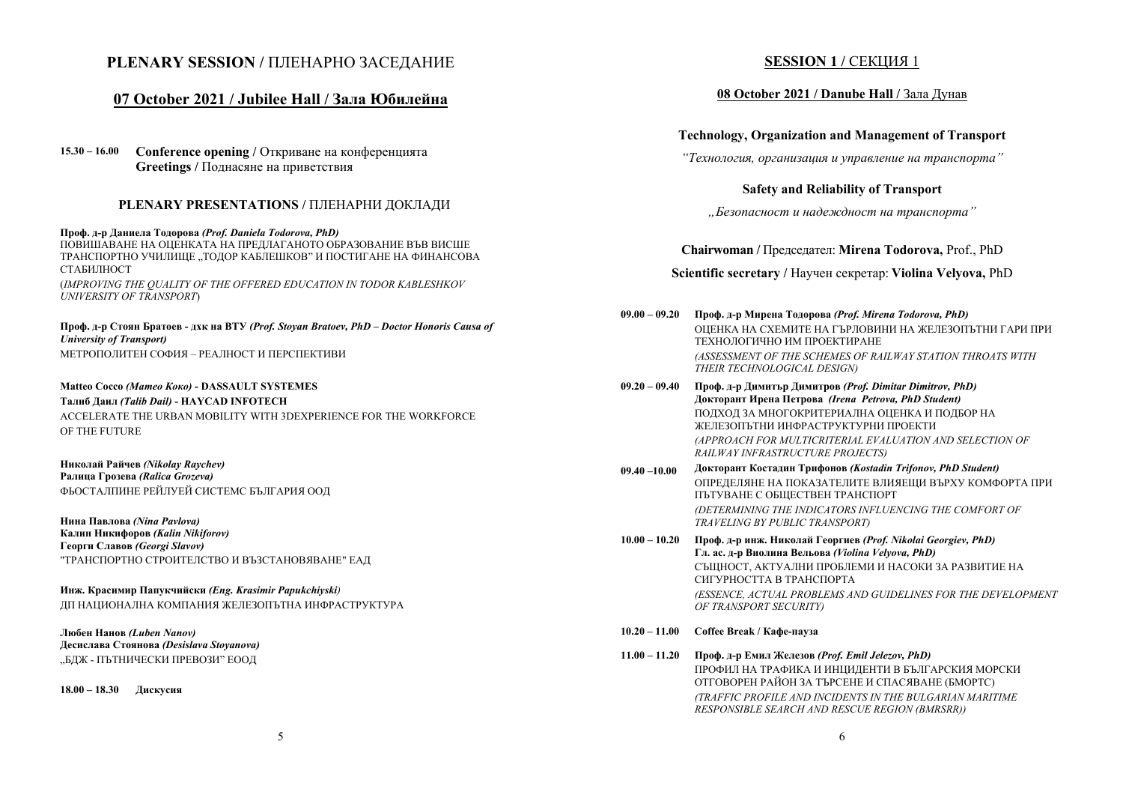## **PLENARY SESSION /** ПЛЕНАРНО ЗАСЕДАНИЕ

## **07 October 2021 / Jubilee Hall / Зала Юбилейна**

**15.30 – 16.00 Conference opening /** Откриване на конференцията **Greetings /** Поднасяне на приветствия

### **PLENARY PRESENTATIONS /** ПЛЕНАРНИ ДОКЛАДИ

**Проф. д-р Даниела Тодорова** *(Prof. Daniela Todorova, PhD)*  ПОВИШАВАНЕ НА ОЦЕНКАТА НА ПРЕДЛАГАНОТО ОБРАЗОВАНИЕ ВЪВ ВИСШЕ ТРАНСПОРТНО УЧИЛИЩЕ "ТОДОР КАБЛЕШКОВ" И ПОСТИГАНЕ НА ФИНАНСОВА СТАБИЛНОСТ

(*IMPROVING THE QUALITY OF THE OFFERED EDUCATION IN TODOR KABLESHKOV UNIVERSITY OF TRANSPORT*)

#### **Проф. д-р Стоян Братоев - дхк на ВТУ** *(Prof. Stoyan Bratoev, PhD – Doctor Honoris Causa of University of Transport)*  МЕТРОПОЛИТЕН СОФИЯ – РЕАЛНОСТ И ПЕРСПЕКТИВИ

#### **Matteo Cocco** *(Матео Коко)* **- DASSAULT SYSTEMES**

**Талиб Даил** *(Talib Dail)* **- HAYCAD INFOTECH**  ACCELERATE THE URBAN MOBILITY WITH 3DEXPERIENCE FOR THE WORKFORCE

OF THE FUTURE

**Николай Райчев** *(Nikolay Raychev)*  **Ралица Грозева** *(Ralica Grozeva)*  ФЬОСТАЛПИНЕ РЕЙЛУЕЙ СИСТЕМС БЪЛГАРИЯ ООД

**Нина Павлова** *(Nina Pavlova)*  **Калин Никифоров** *(Kalin Nikiforov)*  **Георги Славов** *(Georgi Slavov)*  "ТРАНСПОРТНО СТРОИТЕЛСТВО И ВЪЗСТАНОВЯВАНЕ" ЕАД

**Инж. Красимир Папукчийски** *(Eng. Krasimir Papukchiyski)* ДП НАЦИОНАЛНА КОМПАНИЯ ЖЕЛЕЗОПЪТНА ИНФРАСТРУКТУРА

**Любен Нанов** *(Luben Nanov)*  **Десислава Стоянова** *(Desislava Stoyanova)* "БДЖ - ПЪТНИЧЕСКИ ПРЕВОЗИ" ЕООД

**18.00 – 18.30 Дискусия**

## **SESSION 1 / СЕКЦИЯ 1**

### **08 October 2021 / Danube Hall /** Зала Дунав

### **Technology, Organization and Management of Transport**

*"Технология, организация <sup>и</sup> управление на транспорта"* 

### **Safety and Reliability of Transport**

*"Безопасност <sup>и</sup> надеждност на транспорта"* 

### **Chairwoman /** Председател: **Mirena Todorova,** Prof., PhD

### **Scientific secretary /** Научен секретар: **Violina Velyova,** PhD

**09.00 – 09.20 Проф. д-р Мирена Тодорова** *(Prof. Mirena Todorova, PhD)*  ОЦЕНКА НА СХЕМИТЕ НА ГЪРЛОВИНИ НА ЖЕЛЕЗОПЪТНИ ГАРИ ПРИ ТЕХНОЛОГИЧНО ИМ ПРОЕКТИРАНЕ *(ASSESSMENT OF THE SCHEMES OF RAILWAY STATION THROATS WITH THEIR TECHNOLOGICAL DESIGN)* 

- **09.20 09.40 Проф. д-р Димитър Димитров** *(Prof. Dimitar Dimitrov, PhD)*  **Докторант Ирена Петрова** *(Irena Petrova, PhD Student)* ПОДХОД ЗА МНОГОКРИТЕРИАЛНА ОЦЕНКА И ПОДБОР НА ЖЕЛЕЗОПЪТНИ ИНФРАСТРУКТУРНИ ПРОЕКТИ *(APPROACH FOR MULTICRITERIAL EVALUATION AND SELECTION OF RAILWAY INFRASTRUCTURE PROJECTS)*
- **09.40 –10.00 Докторант Костадин Трифонов** *(Kostadin Trifonov, PhD Student)* ОПРЕДЕЛЯНЕ НА ПОКАЗАТЕЛИТЕ ВЛИЯЕЩИ ВЪРХУ КОМФОРТА ПРИ ПЪТУВАНЕ С ОБЩЕСТВЕН ТРАНСПОРТ *(DETERMINING THE INDICATORS INFLUENCING THE COMFORT OF TRAVELING BY PUBLIC TRANSPORT)*
- **10.00 10.20 Проф. д-р инж. Николай Георгиев** *(Prof. Nikolai Georgiev, PhD)* **Гл. ас. д-р Виолина Вельова** *(Violina Velyova, PhD)* СЪЩНОСТ, АКТУАЛНИ ПРОБЛЕМИ И НАСОКИ ЗА РАЗВИТИЕ НА СИГУРНОСТТА В ТРАНСПОРТА *(ESSENCE, ACTUAL PROBLEMS AND GUIDELINES FOR THE DEVELOPMENT OF TRANSPORT SECURITY)*
- **10.20 11.00 Coffee Break / Кафе-пауза**
- **11.00 11.20 Проф. д-р Емил Железов** *(Prof. Emil Jelezov, PhD)*  ПРОФИЛ НА ТРАФИКА И ИНЦИДЕНТИ В БЪЛГАРСКИЯ МОРСКИ ОТГОВОРЕН РАЙОН ЗА ТЪРСЕНЕ И СПАСЯВАНЕ (БМОРТС) *(TRAFFIC PROFILE AND INCIDENTS IN THE BULGARIAN MARITIME RESPONSIBLE SEARCH AND RESCUE REGION (BMRSRR))*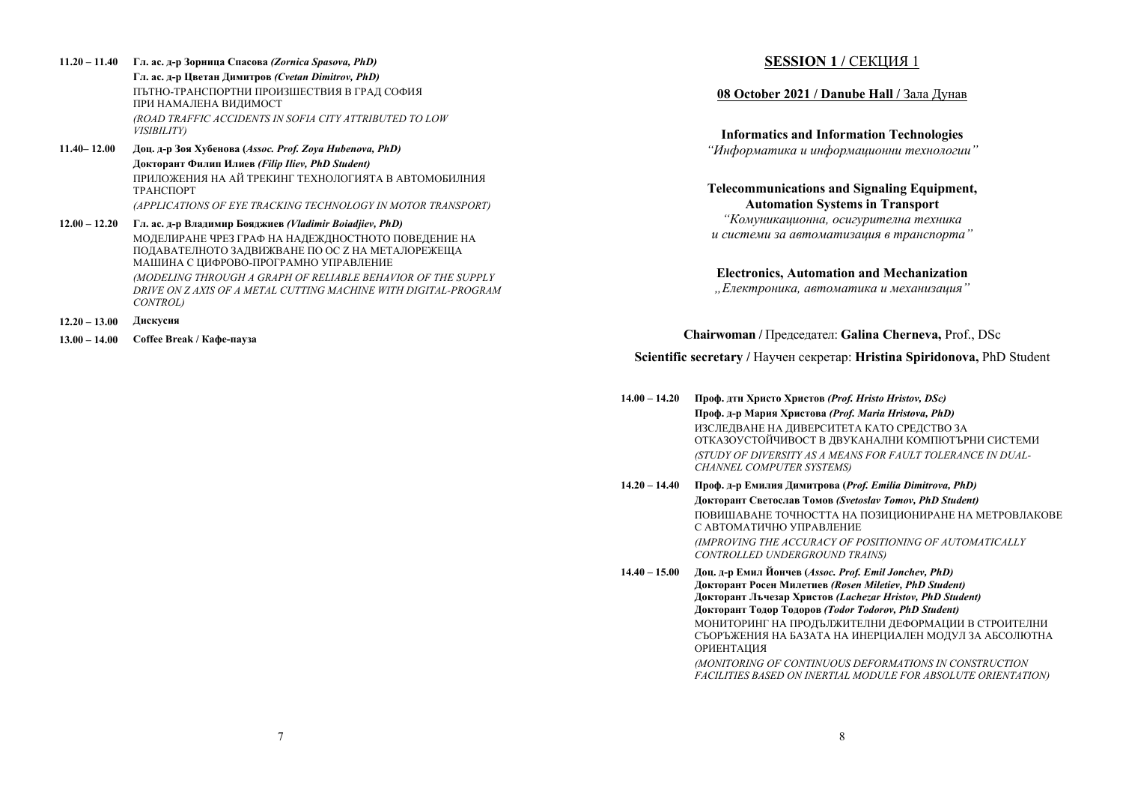- **11.20 11.40 Гл. ас. д-р Зорница Спасова** *(Zornica Spasova, PhD)*  **Гл. ас. д-р Цветан Димитров** *(Cvetan Dimitrov, PhD)* ПЪТНО-ТРАНСПОРТНИ ПРОИЗШЕСТВИЯ В ГРАД СОФИЯ ПРИ НАМАЛЕНА ВИДИМОСТ *(ROAD TRAFFIC ACCIDENTS IN SOFIA CITY ATTRIBUTED TO LOW VISIBILITY)*
- **11.40– 12.00 Доц. д-р Зоя Хубенова (***Assoc. Prof. Zoya Hubenova, PhD)* **Докторант Филип Илиев** *(Filip Iliev, PhD Student)* ПРИЛОЖЕНИЯ НА АЙ ТРЕКИНГ ТЕХНОЛОГИЯТА <sup>В</sup> АВТОМОБИЛНИЯ ТРАНСПОРТ*(APPLICATIONS OF EYE TRACKING TECHNOLOGY IN MOTOR TRANSPORT)*
- **12.00 12.20 Гл. ас. д-р Владимир Бояджиев** *(Vladimir Boiadjiev, PhD)*  МОДЕЛИРАНЕ ЧРЕЗ ГРАФ НА НАДЕЖДНОСТНОТО ПОВЕДЕНИЕ НА ПОДАВАТЕЛНОТО ЗАДВИЖВАНЕ ПО ОС Z НА МЕТАЛОРЕЖЕЩА МАШИНА С ЦИФРОВО-ПРОГРАМНО УПРАВЛЕНИЕ *(MODELING THROUGH A GRAPH OF RELIABLE BEHAVIOR OF THE SUPPLY DRIVE ON Z AXIS OF A METAL CUTTING MACHINE WITH DIGITAL-PROGRAM CONTROL)*
- **12.20 13.00 Дискусия**

**13.00 – 14.00 Coffee Break / Кафе-пауза**

## **SESSION 1 / СЕКЦИЯ 1**

#### **08 October 2021 / Danube Hall /** Зала Дунав

**Informatics and Information Technologies** 

*"Информатика <sup>и</sup> информационни технологии"* 

## **Telecommunications and Signaling Equipment, Automation Systems in Transport**

*"Комуникационна, осигурителна техника и системи за автоматизация <sup>в</sup> транспорта"* 

#### **Electronics, Automation and Mechanization**

*"Електроника, автоматика <sup>и</sup> механизация"* 

#### **Chairwoman /** Председател: **Galina Cherneva,** Prof., DSc

### **Scientific secretary /** Научен секретар: **Hristina Spiridonova,** PhD Student

**14.00 – 14.20 Проф. дтн Христо Христов** *(Prof. Hristo Hristov, DSc)*  **Проф. д-р Мария Христова** *(Prof. Maria Hristova, PhD)* ИЗСЛЕДВАНЕ НА ДИВЕРСИТЕТА КАТО СРЕДСТВО ЗА ОТКАЗОУСТОЙЧИВОСТ В ДВУКАНАЛНИ КОМПЮТЪРНИ СИСТЕМИ *(STUDY OF DIVERSITY AS A MEANS FOR FAULT TOLERANCE IN DUAL-CHANNEL COMPUTER SYSTEMS)* 

**14.20 – 14.40 Проф. д-р Емилия Димитрова (***Prof. Emilia Dimitrova, PhD)*  **Докторант Светослав Томов** *(Svetoslav Tomov, PhD Student)*  ПОВИШАВАНЕ ТОЧНОСТТА НА ПОЗИЦИОНИРАНЕ НА МЕТРОВЛАКОВЕ С АВТОМАТИЧНО УПРАВЛЕНИЕ *(IMPROVING THE ACCURACY OF POSITIONING OF AUTOMATICALLY CONTROLLED UNDERGROUND TRAINS)* 

**14.40 – 15.00 Доц. д-<sup>р</sup> Емил Йончев (***Assoc. Prof. Emil Jonchev, PhD)*  **Докторант Росен Милетиев** *(Rosen Miletiev, PhD Student)*  **Докторант Лъчезар Христов** *(Lachezar Hristov, PhD Student)*  **Докторант Тодор Тодоров** *(Todor Todorov, PhD Student)*  МОНИТОРИНГ НА ПРОДЪЛЖИТЕЛНИ ДЕФОРМАЦИИ В СТРОИТЕЛНИ СЪОРЪЖЕНИЯ НА БАЗАТА НА ИНЕРЦИАЛЕН МОДУЛ ЗА АБСОЛЮТНА ОРИЕНТАЦИЯ *(MONITORING OF CONTINUOUS DEFORMATIONS IN CONSTRUCTION* 

**FACILITIES BASED ON INERTIAL MODULE FOR ABSOLUTE ORIENTATION)**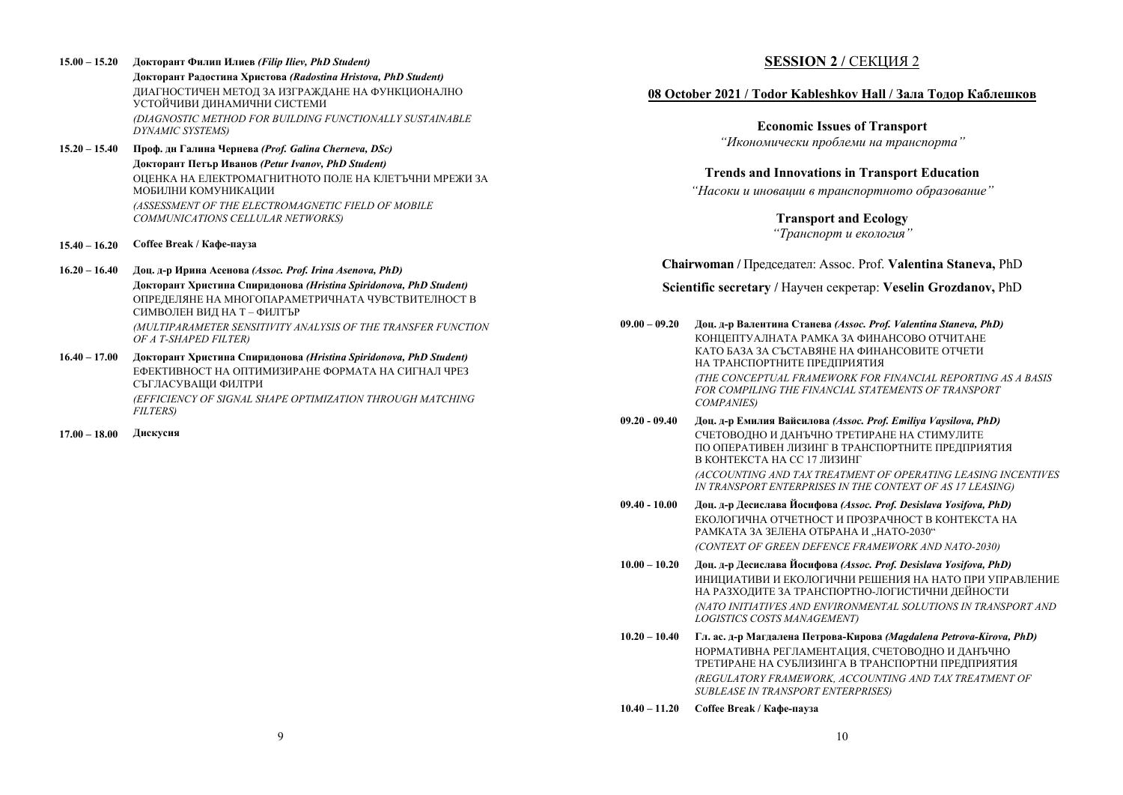- **15.00 15.20 Докторант Филип Илиев** *(Filip Iliev, PhD Student)*  **Докторант Радостина Христова** *(Radostina Hristova, PhD Student)* ДИАГНОСТИЧЕН МЕТОД ЗА ИЗГРАЖДАНЕ НА ФУНКЦИОНАЛНО УСТОЙЧИВИ ДИНАМИЧНИ СИСТЕМИ *(DIAGNOSTIC METHOD FOR BUILDING FUNCTIONALLY SUSTAINABLE DYNAMIC SYSTEMS)*
- **15.20 15.40 Проф. дн Галина Чернева** *(Prof. Galina Cherneva, DSc)*  **Докторант Петър Иванов** *(Petur Ivanov, PhD Student)*  ОЦЕНКА НА ЕЛЕКТРОМАГНИТНОТО ПОЛЕ НА КЛЕТЪЧНИ МРЕЖИ ЗА МОБИЛНИ КОМУНИКАЦИИ *(ASSESSMENT OF THE ELECTROMAGNETIC FIELD OF MOBILE COMMUNICATIONS CELLULAR NETWORKS)*
- **15.40 16.20 Coffee Break / Кафе-пауза**
- **16.20 16.40 Доц. д-р Ирина Асенова** *(Assoc. Prof. Irina Asenova, PhD)*  **Докторант Христина Спиридонова** *(Hristina Spiridonova, PhD Student)*  ОПРЕДЕЛЯНЕ НА МНОГОПАРАМЕТРИЧНАТА ЧУВСТВИТЕЛНОСТ В СИМВОЛЕН ВИД НА Т – ФИЛТЪР *(MULTIPARAMETER SENSITIVITY ANALYSIS OF THE TRANSFER FUNCTION OF A T-SHAPED FILTER)*
- **16.40 17.00 Докторант Христина Спиридонова** *(Hristina Spiridonova, PhD Student)*  ЕФЕКТИВНОСТ НА ОПТИМИЗИРАНЕ ФОРМАТА НА СИГНАЛ ЧРЕЗ СЪГЛАСУВАЩИ ФИЛТРИ *(EFFICIENCY OF SIGNAL SHAPE OPTIMIZATION THROUGH MATCHING FILTERS)*
- **17.00 18.00 Дискусия**

## **SESSION 2 / СЕКЦИЯ 2**

### **08 October 2021 / Todor Kableshkov Hall / Зала Тодор Каблешков**

**Economic Issues of Transport**  *"Икономически проблеми на транспорта"* 

#### **Trends and Innovations in Transport Education**

*"Насоки <sup>и</sup> иновации <sup>в</sup> транспортното образование"* 

**Transport and Ecology** *"Транспорт <sup>и</sup> екология"* 

**Chairwoman /** Председател: Assoc. Prof. **Valentina Staneva,** PhD

**Scientific secretary /** Научен секретар: **Veselin Grozdanov,** PhD

- **09.00 09.20 Доц. д-р Валентина Станева** *(Assoc. Prof. Valentina Staneva, PhD)*  КОНЦЕПТУАЛНАТА РАМКА ЗА ФИНАНСОВО ОТЧИТАНЕ КАТО БАЗА ЗА СЪСТАВЯНЕ НА ФИНАНСОВИТЕ ОТЧЕТИ НА ТРАНСПОРТНИТЕ ПРЕДПРИЯТИЯ *(THE CONCEPTUAL FRAMEWORK FOR FINANCIAL REPORTING AS A BASIS FOR COMPILING THE FINANCIAL STATEMENTS OF TRANSPORT COMPANIES)*
- **09.20 09.40 Доц. д-р Емилия Вайсилова** *(Assoc. Prof. Emiliya Vaysilova, PhD)*  СЧЕТОВОДНО И ДАНЪЧНО ТРЕТИРАНЕ НА СТИМУЛИТЕ ПО ОПЕРАТИВЕН ЛИЗИНГ В ТРАНСПОРТНИТЕ ПРЕДПРИЯТИЯ В КОНТЕКСТА НА СС 17 ЛИЗИНГ *(ACCOUNTING AND TAX TREATMENT OF OPERATING LEASING INCENTIVES IN TRANSPORT ENTERPRISES IN THE CONTEXT OF AS 17 LEASING)*
- **09.40 10.00 Доц. д-<sup>р</sup> Десислава Йосифова** *(Assoc. Prof. Desislava Yosifova, PhD)*  ЕКОЛОГИЧНА ОТЧЕТНОСТ И ПРОЗРАЧНОСТ В КОНТЕКСТА НА РАМКАТА ЗА ЗЕЛЕНА ОТБРАНА И "НАТО-2030" *(CONTEXT OF GREEN DEFENCE FRAMEWORK AND NATO-2030)*
- **10.00 10.20 Доц. д-<sup>р</sup> Десислава Йосифова** *(Assoc. Prof. Desislava Yosifova, PhD)*  ИНИЦИАТИВИ И ЕКОЛОГИЧНИ РЕШЕНИЯ НА НАТО ПРИ УПРАВЛЕНИЕ НА РАЗХОДИТЕ ЗА ТРАНСПОРТНО-ЛОГИСТИЧНИ ДЕЙНОСТИ *(NATO INITIATIVES AND ENVIRONMENTAL SOLUTIONS IN TRANSPORT AND LOGISTICS COSTS MANAGEMENT)*
- **10.20 10.40 Гл. ас. д-р Магдалена Петрова-Кирова** *(Magdalena Petrova-Kirova, PhD)* НОРМАТИВНА РЕГЛАМЕНТАЦИЯ, СЧЕТОВОДНО И ДАНЪЧНО ТРЕТИРАНЕ НА СУБЛИЗИНГА В ТРАНСПОРТНИ ПРЕДПРИЯТИЯ *(REGULATORY FRAMEWORK, ACCOUNTING AND TAX TREATMENT OF SUBLEASE IN TRANSPORT ENTERPRISES)*
- **10.40 11.20 Coffee Break / Кафе-пауза**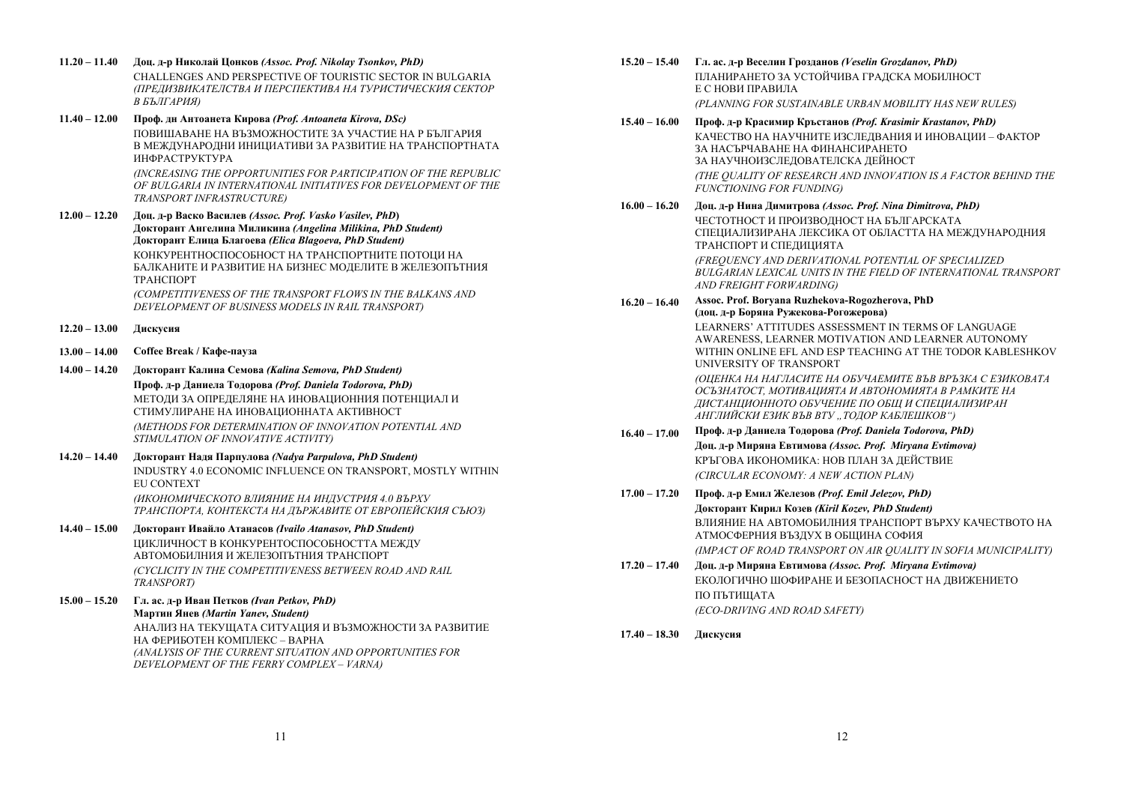- **11.20 11.40 Доц. д-р Николай Цонков** *(Assoc. Prof. Nikolay Tsonkov, PhD)* CHALLENGES AND PERSPECTIVE OF TOURISTIC SECTOR IN BULGARIA *(ПРЕДИЗВИКАТЕЛСТВА И ПЕРСПЕКТИВА НА ТУРИСТИЧЕСКИЯ СЕКТОР В БЪЛГАРИЯ)*
- **11.40 12.00 Проф. дн Антоанета Кирова** *(Prof. Antoaneta Kirova, DSc)* ПОВИШАВАНЕ НА ВЪЗМОЖНОСТИТЕ ЗА УЧАСТИЕ НА Р БЪЛГАРИЯ В МЕЖДУНАРОДНИ ИНИЦИАТИВИ ЗА РАЗВИТИЕ НА ТРАНСПОРТНАТА ИНФРАСТРУКТУРА

*(INCREASING THE OPPORTUNITIES FOR PARTICIPATION OF THE REPUBLIC OF BULGARIA IN INTERNATIONAL INITIATIVES FOR DEVELOPMENT OF THE TRANSPORT INFRASTRUCTURE)* 

**12.00 – 12.20 Доц. д-р Васко Василев** *(Assoc. Prof. Vasko Vasilev, PhD***) Докторант Ангелина Миликина** *(Angelina Milikina, PhD Student)* **Докторант Елица Благоева** *(Elica Blagoeva, PhD Student)*  КОНКУРЕНТНОСПОСОБНОСТ НА ТРАНСПОРТНИТЕ ПОТОЦИ НА БАЛКАНИТЕ И РАЗВИТИЕ НА БИЗНЕС МОДЕЛИТЕ В ЖЕЛЕЗОПЪТНИЯ ТРАНСПОРТ

> *(COMPETITIVENESS OF THE TRANSPORT FLOWS IN THE BALKANS AND DEVELOPMENT OF BUSINESS MODELS IN RAIL TRANSPORT)*

- **12.20 13.00 Дискусия**
- **13.00 14.00 Coffee Break / Кафе-пауза**
- **14.00 14.20 Докторант Калина Семова** *(Kalina Semova, PhD Student)*

**Проф. д-р Даниела Тодорова** *(Prof. Daniela Todorova, PhD)*  МЕТОДИ ЗА ОПРЕДЕЛЯНЕ НА ИНОВАЦИОННИЯ ПОТЕНЦИАЛ ИСТИМУЛИРАНЕ НА ИНОВАЦИОННАТА АКТИВНОСТ

*(METHODS FOR DETERMINATION OF INNOVATION POTENTIAL AND STIMULATION OF INNOVATIVE ACTIVITY)* 

**14.20 – 14.40 Докторант Надя Парпулова** *(Nadya Parpulova, PhD Student)*  INDUSTRY 4.0 ECONOMIC INFLUENCE ON TRANSPORT, MOSTLY WITHIN EU CONTEXT *(ИКОНОМИЧЕСКОТО ВЛИЯНИЕ НА ИНДУСТРИЯ 4.0 ВЪРХУ ТРАНСПОРТА, КОНТЕКСТА НА ДЪРЖАВИТЕ ОТ ЕВРОПЕЙСКИЯ СЪЮЗ)* 

### **14.40 – 15.00 Докторант Ивайло Атанасов** *(Ivailo Atanasov, PhD Student)*

ЦИКЛИЧНОСТ В КОНКУРЕНТОСПОСОБНОСТТА МЕЖДУ АВТОМОБИЛНИЯ И ЖЕЛЕЗОПЪТНИЯ ТРАНСПОРТ *(CYCLICITY IN THE COMPETITIVENESS BETWEEN ROAD AND RAIL TRANSPORT)* 

**15.00 – 15.20 Гл. ас. д-р Иван Петков** *(Ivan Petkov, PhD)*  **Мартин Янев** *(Martin Yanev, Student)* 

АНАЛИЗ НА ТЕКУЩАТА СИТУАЦИЯ И ВЪЗМОЖНОСТИ ЗА РАЗВИТИЕ НА ФЕРИБОТЕН КОМПЛЕКС – ВАРНА *(ANALYSIS OF THE CURRENT SITUATION AND OPPORTUNITIES FOR DEVELOPMENT OF THE FERRY COMPLEX – VARNA)* 

- **15.20 15.40 Гл. ас. д-р Веселин Грозданов** *(Veselin Grozdanov, PhD)*  ПЛАНИРАНЕТО ЗА УСТОЙЧИВА ГРАДСКА МОБИЛНОСТ ЕС НОВИ ПРАВИЛА *(PLANNING FOR SUSTAINABLE URBAN MOBILITY HAS NEW RULES)*
- **15.40 16.00 Проф. д-р Красимир Кръстанов** *(Prof. Krasimir Krastanov, PhD)*  КАЧЕСТВО НА НАУЧНИТЕ ИЗСЛЕДВАНИЯ И ИНОВАЦИИ – ФАКТОР ЗА НАСЪРЧАВАНЕ НА ФИНАНСИРАНЕТО ЗА НАУЧНОИЗСЛЕДОВАТЕЛСКА ДЕЙНОСТ *(THE QUALITY OF RESEARCH AND INNOVATION IS A FACTOR BEHIND THE FUNCTIONING FOR FUNDING)*
- **16.00 16.20 Доц. д-р Нина Димитрова** *(Assoc. Prof. Nina Dimitrova, PhD)* ЧЕСТОТНОСТ И ПРОИЗВОДНОСТ НА БЪЛГАРСКАТА СПЕЦИАЛИЗИРАНА ЛЕКСИКА ОТ ОБЛАСТТА НА МЕЖДУНАРОДНИЯ ТРАНСПОРТ И СПЕДИЦИЯТА

*(FREQUENCY AND DERIVATIONAL POTENTIAL OF SPECIALIZED BULGARIAN LEXICAL UNITS IN THE FIELD OF INTERNATIONAL TRANSPORT AND FREIGHT FORWARDING)* 

**16.20 – 16.40 Assoc. Prof. Boryana Ruzhekova-Rogozherova, PhD (доц. д-р Боряна Ружекова-Рогожерова)**  LEARNERS' ATTITUDES ASSESSMENT IN TERMS OF LANGUAGE

AWARENESS, LEARNER MOTIVATION AND LEARNER AUTONOMY WITHIN ONLINE EFL AND ESP TEACHING AT THE TODOR KABLESHKOV UNIVERSITY OF TRANSPORT

*(ОЦЕНКА НА НАГЛАСИТЕ НА ОБУЧАЕМИТЕ ВЪВ ВРЪЗКА С ЕЗИКОВАТА ОСЪЗНАТОСТ, МОТИВАЦИЯТА И АВТОНОМИЯТА В РАМКИТЕ НА ДИСТАНЦИОННОТО ОБУЧЕНИЕ ПО ОБЩ И СПЕЦИАЛИЗИРАН АНГЛИЙСКИ ЕЗИК ВЪВ ВТУ "ТОДОР КАБЛЕШКОВ")* 

- **16.40 17.00 Проф. д-р Даниела Тодорова** *(Prof. Daniela Todorova, PhD)*  **Доц. д-р Миряна Евтимова** *(Assoc. Prof. Miryana Evtimova)*  КРЪГОВА ИКОНОМИКА: НОВ ПЛАН ЗА ДЕЙСТВИЕ *(CIRCULAR ECONOMY: A NEW ACTION PLAN)*
- **17.00 17.20 Проф. д-р Емил Железов** *(Prof. Emil Jelezov, PhD)* **Докторант Кирил Козев** *(Kiril Kozev, PhD Student)* ВЛИЯНИЕ НА АВТОМОБИЛНИЯ ТРАНСПОРТ ВЪРХУ КАЧЕСТВОТО НА АТМОСФЕРНИЯ ВЪЗДУХ В ОБЩИНА СОФИЯ *(IMPACT OF ROAD TRANSPORT ON AIR QUALITY IN SOFIA MUNICIPALITY)*
- **17.20 17.40 Доц. д-р Миряна Евтимова** *(Assoc. Prof. Miryana Evtimova)* ЕКОЛОГИЧНО ШОФИРАНЕ И БЕЗОПАСНОСТ НА ДВИЖЕНИЕТО ПО ПЪТИЩАТА *(ECO-DRIVING AND ROAD SAFETY)*
- **17.40 18.30 Дискусия**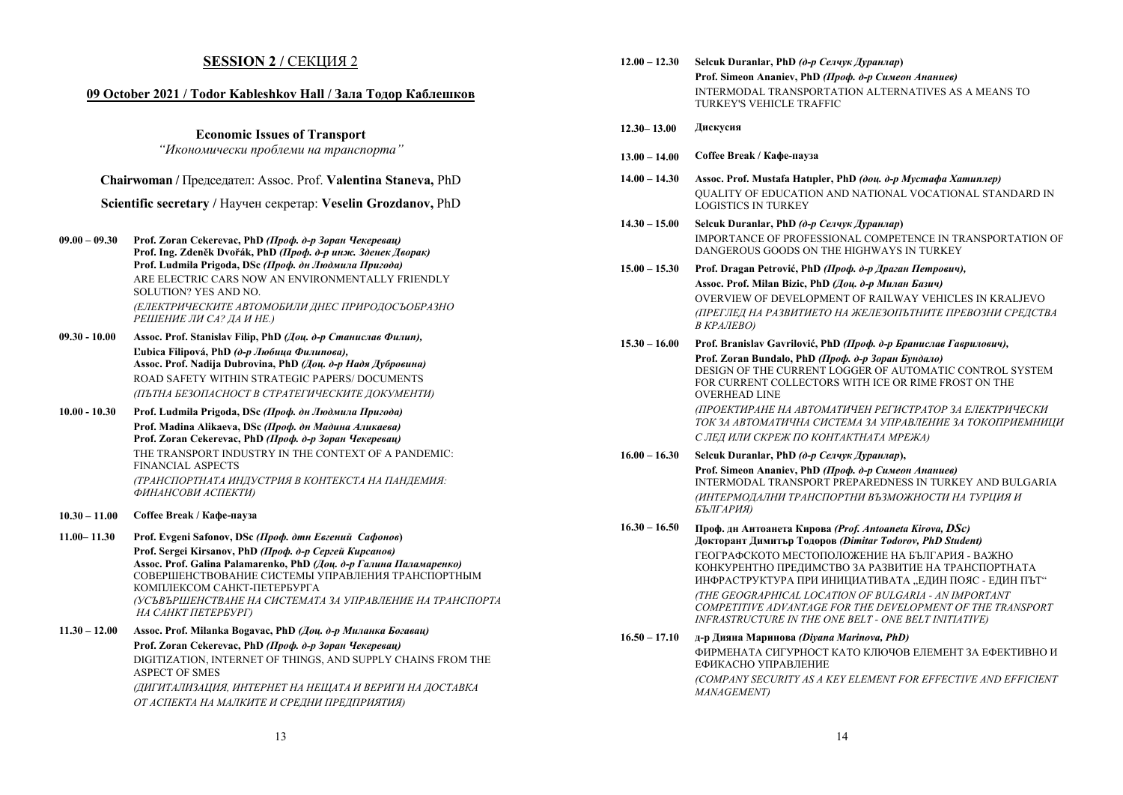### **SESSION 2 / СЕКЦИЯ 2**

#### **09 October 2021 / Todor Kableshkov Hall / Зала Тодор Каблешков**

**Economic Issues of Transport** 

*"Икономически проблеми на транспорта"* 

**Chairwoman /** Председател: Assoc. Prof. **Valentina Staneva,** PhD

**Scientific secretary /** Научен секретар: **Veselin Grozdanov,** PhD

- **09.00 09.30 Prof. Zoran Cekerevac, PhD** *(Проф. д-р Зоран Чекеревац)*  **Prof. Ing. Zdeněk Dvořák, PhD** *(Проф. д-р инж. Зденек Дворак)*  **Prof. Ludmila Prigoda, DSc** *(Проф. дн Людмила Пригода)* ARE ELECTRIC CARS NOW AN ENVIRONMENTALLY FRIENDLY SOLUTION? YES AND NO. *(ЕЛЕКТРИЧЕСКИТЕ АВТОМОБИЛИ ДНЕС ПРИРОДОСЪОБРАЗНО РЕШЕНИЕ ЛИ СА? ДА И НЕ.)*
- **09.30 10.00 Assoc. Prof. Stanislav Filip, PhD** *(Доц. д-р Станислав Филип),*  **Ľubica Filipová, PhD** *(д-р Любица Филипова),*  **Assoc. Prof. Nadija Dubrovina, PhD** *(Доц. д-р Надя Дубровина)*  ROAD SAFETY WITHIN STRATEGIC PAPERS/ DOCUMENTS *(ПЪТНА БЕЗОПАСНОСТ В СТРАТЕГИЧЕСКИТЕ ДОКУМЕНТИ)*
- **10.00 10.30 Prof. Ludmila Prigoda, DSc** *(Проф. дн Людмила Пригода)*  **Prof. Madina Alikaeva, DSc** *(Проф. дн Мадина Аликаева)*  **Prof. Zoran Cekerevac, PhD** *(Проф. д-р Зоран Чекеревац)*  THE TRANSPORT INDUSTRY IN THE CONTEXT OF A PANDEMIC: FINANCIAL ASPECTS *(ТРАНСПОРТНАТА ИНДУСТРИЯ В КОНТЕКСТА НА ПАНДЕМИЯ: ФИНАНСОВИ АСПЕКТИ)*
- **10.30 11.00 Coffee Break / Кафе-пауза**
- **11.00– 11.30 Prof. Evgeni Safonov, DSc** *(Проф. дтн Евгений Сафонов***) Prof. Sergei Kirsanov, PhD** *(Проф. д-р Сергей Кирсанов)*  **Assoc. Prof. Galina Palamarenko, PhD** *(Доц. д-р Галина Паламаренко)*  СОВЕРШЕНСТВОВАНИЕ СИСТЕМЫ УПРАВЛЕНИЯ ТРАНСПОРТНЫМ КОМПЛЕКСОМ САНКТ-ПЕТЕРБУРГА *(УСЪВЪРШЕНСТВАНЕ НА СИСТЕМАТА ЗА УПРАВЛЕНИЕ НА ТРАНСПОРТА НА САНКТ ПЕТЕРБУРГ)*
- **11.30 12.00 Assoc. Prof. Milanka Bogavac, PhD** *(Доц. д-р Миланка Богавац)*  **Prof. Zoran Cekerevac, PhD** *(Проф. д-р Зоран Чекеревац)*  DIGITIZATION, INTERNET OF THINGS, AND SUPPLY CHAINS FROM THE ASPECT OF SMES *(ДИГИТАЛИЗАЦИЯ, ИНТЕРНЕТ НА НЕЩАТА И ВЕРИГИ НА ДОСТАВКА ОТ АСПЕКТА НА МАЛКИТЕ И СРЕДНИ ПРЕДПРИЯТИЯ)*

| $12.00 - 12.30$ | Selcuk Duranlar, PhD (д-р Селчук Дуранлар)                                                                                                                                                     |
|-----------------|------------------------------------------------------------------------------------------------------------------------------------------------------------------------------------------------|
|                 | Prof. Simeon Ananiev, PhD (Проф. д-р Симеон Ананиев)<br><b>INTERMODAL TRANSPORTATION ALTERNATIVES AS A MEANS TO</b><br>TURKEY'S VEHICLE TRAFFIC                                                |
| $12.30 - 13.00$ | Дискусия                                                                                                                                                                                       |
| $13.00 - 14.00$ | Coffee Break / Кафе-пауза                                                                                                                                                                      |
| $14.00 - 14.30$ | Assoc. Prof. Mustafa Hatipler, PhD (dou. d-p Mycmada Xamunnep)<br>QUALITY OF EDUCATION AND NATIONAL VOCATIONAL STANDARD IN<br><b>LOGISTICS IN TURKEY</b>                                       |
| $14.30 - 15.00$ | Selcuk Duranlar, PhD (д-р Селчук Дуранлар)<br>IMPORTANCE OF PROFESSIONAL COMPETENCE IN TRANSPORTATION OF<br>DANGEROUS GOODS ON THE HIGHWAYS IN TURKEY                                          |
| $15.00 - 15.30$ | Prof. Dragan Petrović, PhD (Проф. д-р Драган Петрович),                                                                                                                                        |
|                 | Assoc. Prof. Milan Bizic, PhD (Доц. д-р Милан Базич)                                                                                                                                           |
|                 | OVERVIEW OF DEVELOPMENT OF RAILWAY VEHICLES IN KRALJEVO<br>(ПРЕГЛЕД НА РАЗВИТИЕТО НА ЖЕЛЕЗОПЪТНИТЕ ПРЕВОЗНИ СРЕДСТВА<br><b>B KPAJIEBO)</b>                                                     |
| $15.30 - 16.00$ | Prof. Branislav Gavrilović, PhD (Проф. д-р Бранислав Гаврилович),                                                                                                                              |
|                 | Prof. Zoran Bundalo, PhD (Проф. д-р Зоран Бундало)<br>DESIGN OF THE CURRENT LOGGER OF AUTOMATIC CONTROL SYSTEM<br>FOR CURRENT COLLECTORS WITH ICE OR RIME FROST ON THE<br><b>OVERHEAD LINE</b> |
|                 | (ПРОЕКТИРАНЕ НА АВТОМАТИЧЕН РЕГИСТРАТОР ЗА ЕЛЕКТРИЧЕСКИ<br>ТОК ЗА АВТОМАТИЧНА СИСТЕМА ЗА УПРАВЛЕНИЕ ЗА ТОКОПРИЕМНИЦИ                                                                           |
|                 | С ЛЕД ИЛИ СКРЕЖ ПО КОНТАКТНАТА МРЕЖА)                                                                                                                                                          |
| $16.00 - 16.30$ | Selcuk Duranlar, PhD (д-р Селчук Дуранлар),                                                                                                                                                    |
|                 | Prof. Simeon Ananiev, PhD (Проф. д-р Симеон Ананиев)<br><b>INTERMODAL TRANSPORT PREPAREDNESS IN TURKEY AND BULGARIA</b><br>(ИНТЕРМОДАЛНИ ТРАНСПОРТНИ ВЪЗМОЖНОСТИ НА ТУРЦИЯ И<br>БЪЛГАРИЯ)      |
| $16.30 - 16.50$ | Проф. дн Антоанета Кирова (Prof. Antoaneta Kirova, DSc)<br>Докторант Димитър Тодоров (Dimitar Todorov, PhD Student)                                                                            |
|                 | ГЕОГРАФСКОТО МЕСТОПОЛОЖЕНИЕ НА БЪЛГАРИЯ - ВАЖНО<br>КОНКУРЕНТНО ПРЕДИМСТВО ЗА РАЗВИТИЕ НА ТРАНСПОРТНАТА<br>ИНФРАСТРУКТУРА ПРИ ИНИЦИАТИВАТА "ЕДИН ПОЯС - ЕДИН ПЪТ"                               |
|                 | (THE GEOGRAPHICAL LOCATION OF BULGARIA - AN IMPORTANT<br>COMPETITIVE ADVANTAGE FOR THE DEVELOPMENT OF THE TRANSPORT<br>INFRASTRUCTURE IN THE ONE BELT - ONE BELT INITIATIVE)                   |
| $16.50 - 17.10$ | д-р Дияна Маринова (Diyana Marinova, PhD)<br>ФИРМЕНАТА СИГУРНОСТ КАТО КЛЮЧОВ ЕЛЕМЕНТ ЗА ЕФЕКТИВНО И<br>ЕФИКАСНО УПРАВЛЕНИЕ.                                                                    |

*(COMPANY SECURITY AS A KEY ELEMENT FOR EFFECTIVE AND EFFICIENT MANAGEMENT)*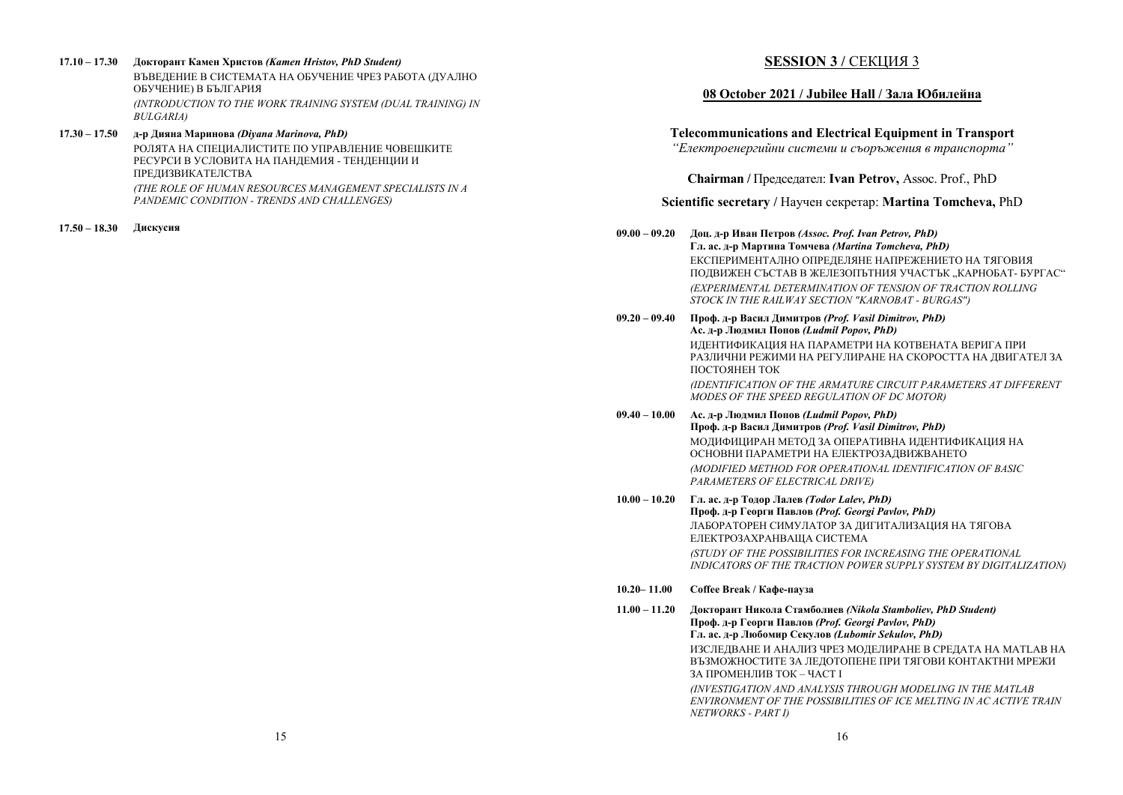- **17.10 17.30 Докторант Камен Христов** *(Kamen Hristov, PhD Student)*  ВЪВЕЛЕНИЕ В СИСТЕМАТА НА ОБУЧЕНИЕ ЧРЕЗ РАБОТА (ЛУАЛНО ОБУЧЕНИЕ) В БЪЛГАРИЯ *(INTRODUCTION TO THE WORK TRAINING SYSTEM (DUAL TRAINING) IN BULGARIA)*
- **17.30 17.50 д-р Дияна Маринова** *(Diyana Marinova, PhD)*  РОЛЯТА НА СПЕЦИАЛИСТИТЕ ПО УПРАВЛЕНИЕ ЧОВЕШКИТЕ РЕСУРСИ В УСЛОВИТА НА ПАНДЕМИЯ - ТЕНДЕНЦИИ И ПРЕДИЗВИКАТЕЛСТВА *(THE ROLE OF HUMAN RESOURCES MANAGEMENT SPECIALISTS IN A PANDEMIC CONDITION - TRENDS AND CHALLENGES)*

**17.50 – 18.30 Дискусия**

## **SESSION 3 / СЕКЦИЯ 3**

## **08 October 2021 / Jubilee Hall / Зала Юбилейна**

**Telecommunications and Electrical Equipment in Transport**

*"Електроенергийни системи <sup>и</sup> съоръжения <sup>в</sup> транспорта"* 

**Chairman /** Председател: **Ivan Petrov,** Assoc. Prof., PhD

### **Scientific secretary /** Научен секретар: **Martina Tomcheva,** PhD

**09.00 – 09.20 Доц. д-р Иван Петров** *(Assoc. Prof. Ivan Petrov, PhD)*  **Гл. ас. д-р Мартина Томчева** *(Martina Tomcheva, PhD)*  ЕКСПЕРИМЕНТАЛНО ОПРЕДЕЛЯНЕ НАПРЕЖЕНИЕТО НА ТЯГОВИЯ ПОДВИЖЕН СЪСТАВ В ЖЕЛЕЗОПЪТНИЯ УЧАСТЪК "КАРНОБАТ- БУРГАС" *(EXPERIMENTAL DETERMINATION OF TENSION OF TRACTION ROLLING STOCK IN THE RAILWAY SECTION "KARNOBAT - BURGAS")* 

**09.20 – 09.40 Проф. д-р Васил Димитров** *(Prof. Vasil Dimitrov, PhD)* **Ас. д-р Людмил Попов** *(Ludmil Popov, PhD)* ИДЕНТИФИКАЦИЯ НА ПАРАМЕТРИ НА КОТВЕНАТА ВЕРИГА ПРИ РАЗЛИЧНИ РЕЖИМИ НА РЕГУЛИРАНЕ НА СКОРОСТТА НА ДВИГАТЕЛ ЗА ПОСТОЯНЕН ТОК *(IDENTIFICATION OF THE ARMATURE CIRCUIT PARAMETERS AT DIFFERENT MODES OF THE SPEED REGULATION OF DC MOTOR)* 

**09.40 – 10.00 Ас. д-р Людмил Попов** *(Ludmil Popov, PhD)* **Проф. д-р Васил Димитров** *(Prof. Vasil Dimitrov, PhD)* МОЛИФИЦИРАН МЕТОЛ ЗА ОПЕРАТИВНА ИЛЕНТИФИКАЦИЯ НА ОСНОВНИ ПАРАМЕТРИ НА ЕЛЕКТРОЗАДВИЖВАНЕТО *(MODIFIED METHOD FOR OPERATIONAL IDENTIFICATION OF BASIC PARAMETERS OF ELECTRICAL DRIVE)* 

- **10.00 10.20 Гл. ас. д-р Тодор Лалев** *(Todor Lalev, PhD)* **Проф. д-р Георги Павлов** *(Prof. Georgi Pavlov, PhD)*  ЛАБОРАТОРЕН СИМУЛАТОР ЗА ДИГИТАЛИЗАЦИЯ НА ТЯГОВА ЕЛЕКТРОЗАХРАНВАЩА СИСТЕМА *(STUDY OF THE POSSIBILITIES FOR INCREASING THE OPERATIONAL INDICATORS OF THE TRACTION POWER SUPPLY SYSTEM BY DIGITALIZATION)*
- **10.20– 11.00 Coffee Break / Кафе-пауза**

**11.00 – 11.20 Докторант Никола Стамболиев** *(Nikola Stamboliev, PhD Student)* **Проф. д-р Георги Павлов** *(Prof. Georgi Pavlov, PhD)*  **Гл. ас. д-р Любомир Секулов** *(Lubomir Sekulov, PhD)*  ИЗСЛЕДВАНЕ И АНАЛИЗ ЧРЕЗ МОДЕЛИРАНЕ В СРЕДАТА НА MATLAB НА ВЪЗМОЖНОСТИТЕ ЗА ЛЕДОТОПЕНЕ ПРИ ТЯГОВИ КОНТАКТНИ МРЕЖИ ЗА ПРОМЕНЛИВ ТОК – ЧАСТ I *(INVESTIGATION AND ANALYSIS THROUGH MODELING IN THE MATLAB ENVIRONMENT OF THE POSSIBILITIES OF ICE MELTING IN AC ACTIVE TRAIN NETWORKS - PART I)*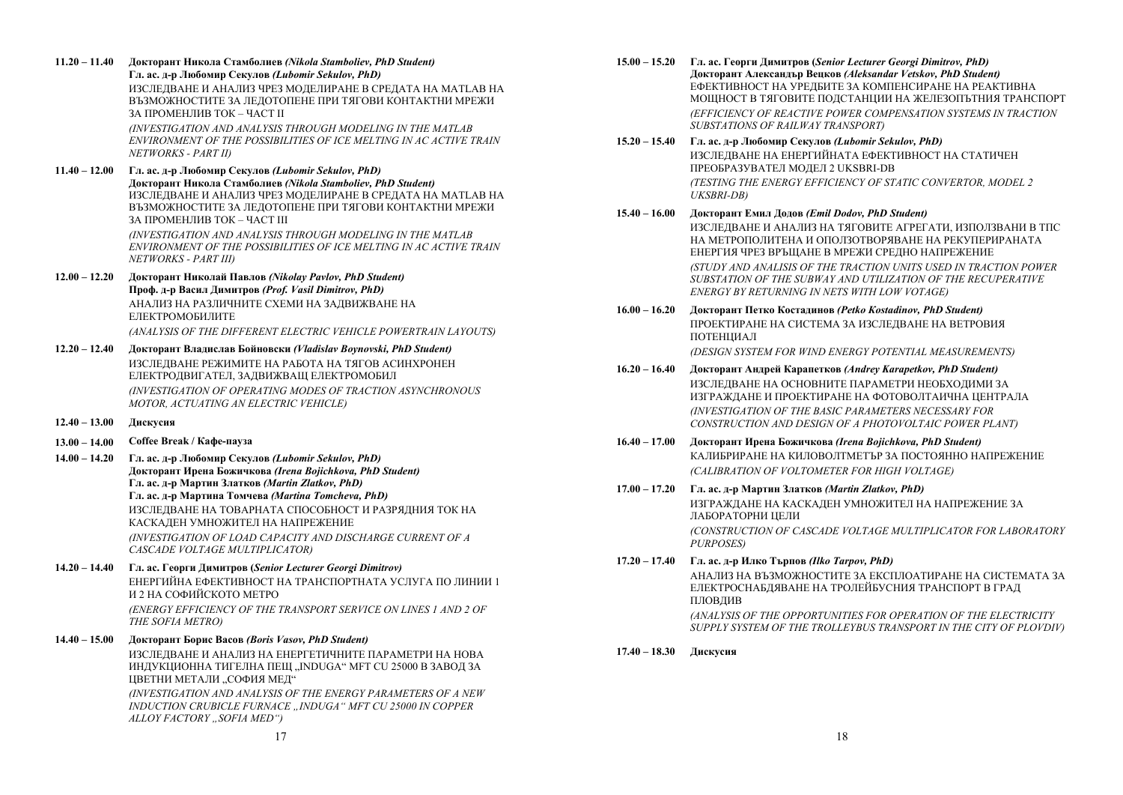**11.20 – 11.40 Докторант Никола Стамболиев** *(Nikola Stamboliev, PhD Student)*  **Гл. ас. д-р Любомир Секулов** *(Lubomir Sekulov, PhD)* ИЗСЛЕДВАНЕ И АНАЛИЗ ЧРЕЗ МОДЕЛИРАНЕ В СРЕДАТА НА MATLAB НА ВЪЗМОЖНОСТИТЕ ЗА ЛЕДОТОПЕНЕ ПРИ ТЯГОВИ КОНТАКТНИ МРЕЖИ ЗА ПРОМЕНЛИВ ТОК – ЧАСТ II

> *(INVESTIGATION AND ANALYSIS THROUGH MODELING IN THE MATLAB ENVIRONMENT OF THE POSSIBILITIES OF ICE MELTING IN AC ACTIVE TRAIN NETWORKS - PART II)*

**11.40 – 12.00 Гл. ас. д-р Любомир Секулов** *(Lubomir Sekulov, PhD)* **Докторант Никола Стамболиев** *(Nikola Stamboliev, PhD Student)*  ИЗСЛЕДВАНЕ И АНАЛИЗ ЧРЕЗ МОДЕЛИРАНЕ В СРЕДАТА НА MATLAB НА ВЪЗМОЖНОСТИТЕ ЗА ЛЕДОТОПЕНЕ ПРИ ТЯГОВИ КОНТАКТНИ МРЕЖИ ЗА ПРОМЕНЛИВ ТОК – ЧАСТ III *(INVESTIGATION AND ANALYSIS THROUGH MODELING IN THE MATLAB* 

*ENVIRONMENT OF THE POSSIBILITIES OF ICE MELTING IN AC ACTIVE TRAIN NETWORKS - PART III)* 

- **12.00 12.20 Докторант Николай Павлов** *(Nikolay Pavlov, PhD Student)*  **Проф. д-р Васил Димитров** *(Prof. Vasil Dimitrov, PhD)* АНАЛИЗ НА РАЗЛИЧНИТЕ СХЕМИ НА ЗАДВИЖВАНЕ НА ЕЛЕКТРОМОБИЛИТЕ*(ANALYSIS OF THE DIFFERENT ELECTRIC VEHICLE POWERTRAIN LAYOUTS)*
- **12.20 12.40 Докторант Владислав Бойновски** *(Vladislav Boynovski, PhD Student)* ИЗСЛЕДВАНЕ РЕЖИМИТЕ НА РАБОТА НА ТЯГОВ АСИНХРОНЕН ЕЛЕКТРОДВИГАТЕЛ, ЗАДВИЖВАЩ ЕЛЕКТРОМОБИЛ *(INVESTIGATION OF OPERATING MODES OF TRACTION ASYNCHRONOUS MOTOR, ACTUATING AN ELECTRIC VEHICLE)*
- **12.40 13.00 Дискусия**
- **13.00 14.00 Coffee Break / Кафе-пауза**
- **14.00 14.20 Гл. ас. д-р Любомир Секулов** *(Lubomir Sekulov, PhD)*  **Докторант Ирена Божичкова** *(Irena Bojichkova, PhD Student)*  **Гл. ас. д-р Мартин Златков** *(Martin Zlatkov, PhD)*  **Гл. ас. д-р Мартина Томчева** *(Martina Tomcheva, PhD)*  ИЗСЛЕДВАНЕ НА ТОВАРНАТА СПОСОБНОСТ И РАЗРЯДНИЯ ТОК НА КАСКАДЕН УМНОЖИТЕЛ НА НАПРЕЖЕНИЕ *(INVESTIGATION OF LOAD CAPACITY AND DISCHARGE CURRENT OF A*

*CASCADE VOLTAGE MULTIPLICATOR)* 

- **14.20 14.40 Гл. ас. Георги Димитров (***Senior Lecturer Georgi Dimitrov)* ЕНЕРГИЙНА ЕФЕКТИВНОСТ НА ТРАНСПОРТНАТА УСЛУГА ПО ЛИНИИ 1 И 2 НА СОФИЙСКОТО МЕТРО *(ENERGY EFFICIENCY OF THE TRANSPORT SERVICE ON LINES 1 AND 2 OF*
- *THE SOFIA METRO)*  **14.40 – 15.00 Докторант Борис Васов** *(Boris Vasov, PhD Student)*

ИЗСЛЕДВАНЕ И АНАЛИЗ НА ЕНЕРГЕТИЧНИТЕ ПАРАМЕТРИ НА НОВА ИНДУКЦИОННА ТИГЕЛНА ПЕЩ "INDUGA" MFT CU 25000 В ЗАВОД ЗА ЦВЕТНИ МЕТАЛИ "СОФИЯ МЕД"

*(INVESTIGATION AND ANALYSIS OF THE ENERGY PARAMETERS OF A NEW INDUCTION CRUBICLE FURNACE "INDUGA" MFT CU 25000 IN COPPER ALLOY FACTORY "SOFIA MED")* 

- **15.00 15.20 Гл. ас. Георги Димитров (***Senior Lecturer Georgi Dimitrov, PhD)*  **Докторант Александър Вецков** *(Aleksandar Vetskov, PhD Student)*  ЕФЕКТИВНОСТ НА УРЕДБИТЕ ЗА КОМПЕНСИРАНЕ НА РЕАКТИВНА МОЩНОСТ В ТЯГОВИТЕ ПОДСТАНЦИИ НА ЖЕЛЕЗОПЪТНИЯ ТРАНСПОРТ *(EFFICIENCY OF REACTIVE POWER COMPENSATION SYSTEMS IN TRACTION SUBSTATIONS OF RAILWAY TRANSPORT)*
- **15.20 15.40 Гл. ас. д-р Любомир Секулов** *(Lubomir Sekulov, PhD)* ИЗСЛЕДВАНЕ НА ЕНЕРГИЙНАТА ЕФЕКТИВНОСТ НА СТАТИЧЕН ПРЕОБРАЗУВАТЕЛ МОДЕЛ 2 UKSBRІ-DB *(TESTING THE ENERGY EFFICIENCY OF STATIC CONVERTOR, MODEL 2 UKSBRІ-DB)*
- **15.40 16.00 Докторант Емил Додов** *(Emil Dodov, PhD Student)*  ИЗСЛЕДВАНЕ И АНАЛИЗ НА ТЯГОВИТЕ АГРЕГАТИ, ИЗПОЛЗВАНИ В ТПС НА МЕТРОПОЛИТЕНА И ОПОЛЗОТВОРЯВАНЕ НА РЕКУПЕРИРАНАТА ЕНЕРГИЯ ЧРЕЗ ВРЪЩАНЕ В МРЕЖИ СРЕДНО НАПРЕЖЕНИЕ *(STUDY AND ANALISIS OF THE TRACTION UNITS USED IN TRACTION POWER SUBSTATION OF THE SUBWAY AND UTILIZATION OF THE RECUPERATIVE ENERGY BY RETURNING IN NETS WITH LOW VOTAGE)*
- **16.00 16.20 Докторант Петко Костадинов** *(Petko Кostadinov, PhD Student)*  ПРОЕКТИРАНЕ НА СИСТЕМА ЗА ИЗСЛЕДВАНЕ НА ВЕТРОВИЯ ПОТЕНЦИАЛ *(DESIGN SYSTEM FOR WIND ENERGY POTENTIAL MEASUREMENTS)*
- **16.20 16.40 Докторант Андрей Карапетков** *(Andrey Karapetkov, PhD Student)*  ИЗСЛЕДВАНЕ НА ОСНОВНИТЕ ПАРАМЕТРИ НЕОБХОДИМИ ЗА ИЗГРАЖДАНЕ И ПРОЕКТИРАНЕ НА ФОТОВОЛТАИЧНА ЦЕНТРАЛА *(INVESTIGATION OF THE BASIC PARAMETERS NECESSARY FOR CONSTRUCTION AND DESIGN OF A PHOTOVOLTAIC POWER PLANT)*
- **16.40 17.00 Докторант Ирена Божичкова** *(Irena Bojichkova, PhD Student)*  КАЛИБРИРАНЕ НА КИЛОВОЛТМЕТЪР ЗА ПОСТОЯННО НАПРЕЖЕНИЕ *(CALIBRATION OF VOLTOMETER FOR HIGH VOLTAGE)*
- **17.00 17.20 Гл. ас. д-р Мартин Златков** *(Martin Zlatkov, PhD)*  ИЗГРАЖДАНЕ НА КАСКАДЕН УМНОЖИТЕЛ НА НАПРЕЖЕНИЕ ЗА ЛАБОРАТОРНИ ЦЕЛИ *(CONSTRUCTION OF CASCADE VOLTAGE MULTIPLICATOR FOR LABORATORY PURPOSES)*
- **17.20 17.40 Гл. ас. д-р Илко Търпов** *(Ilko Tarpov, PhD)*

АНАЛИЗ НА ВЪЗМОЖНОСТИТЕ ЗА ЕКСПЛОАТИРАНЕ НА СИСТЕМАТА ЗА ЕЛЕКТРОСНАБДЯВАНЕ НА ТРОЛЕЙБУСНИЯ ТРАНСПОРТ В ГРАД ПЛОВДИВ

*(ANALYSIS OF THE OPPORTUNITIES FOR OPERATION OF THE ELECTRICITY SUPPLY SYSTEM OF THE TROLLEYBUS TRANSPORT IN THE CITY OF PLOVDIV)* 

**17.40 – 18.30 Дискусия**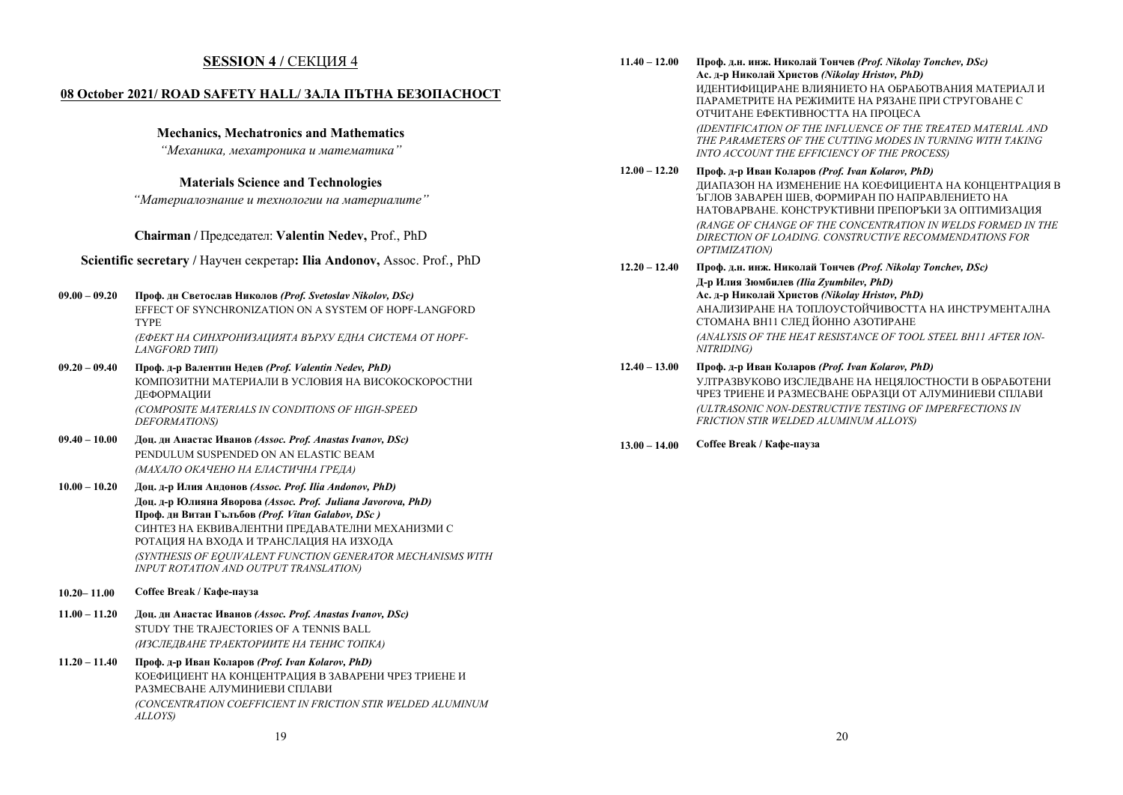### **SESSION 4 /** СЕКЦИЯ 4

#### **08 October 2021/ ROAD SAFETY HALL/ ЗАЛА ПЪТНА БЕЗОПАСНОСТ**

#### **Mechanics, Mechatronics and Mathematics**

*"Механика, мехатроника <sup>и</sup> математика"* 

#### **Materials Science and Technologies**

*"Материалознание <sup>и</sup> технологии на материалите"* 

#### **Chairman /** Председател: **Valentin Nedev,** Prof., PhD

**Scientific secretary /** Научен секретар**: Ilia Andonov,** Assoc. Prof., PhD

**09.00 – 09.20 Проф. дн Светослав Николов** *(Prof. Svetoslav Nikolov, DSc)* 

EFFECT OF SYNCHRONIZATION ON A SYSTEM OF HOPF-LANGFORD TYPE *(ЕФЕКТ НА СИНХРОНИЗАЦИЯТА ВЪРХУ ЕДНА СИСТЕМА ОТ HOPF-LANGFORD ТИП)* 

- **09.20 09.40 Проф. д-р Валентин Недев** *(Prof. Valentin Nedev, PhD)*  КОМПОЗИТНИ МАТЕРИАЛИ В УСЛОВИЯ НА ВИСОКОСКОРОСТНИ ДЕФОРМАЦИИ *(COMPOSITE MATERIALS IN CONDITIONS OF HIGH-SPEED DEFORMATIONS)*
- **09.40 10.00 Доц. дн Анастас Иванов** *(Assoc. Prof. Anastas Ivanov, DSc)*  PENDULUM SUSPENDED ON AN ELASTIC BEAM *(МАХАЛО ОКАЧЕНО НА ЕЛАСТИЧНА ГРЕДА)*
- **10.00 10.20 Доц. д-р Илия Андонов** *(Assoc. Prof. Ilia Andonov, PhD)*  **Доц. д-р Юлияна Яворова** *(Assoc. Prof. Juliana Javorova, PhD)*  **Проф. дн Витан Гълъбов** *(Prof. Vitan Gаlаbov, DSc )*  СИНТЕЗ НА ЕКВИВАЛЕНТНИ ПРЕДАВАТЕЛНИ МЕХАНИЗМИ С РОТАЦИЯ НА ВХОДА И ТРАНСЛАЦИЯ НА ИЗХОДА *(SYNTHESIS OF EQUIVALENT FUNCTION GENERATOR MECHANISMS WITH INPUT ROTATION AND OUTPUT TRANSLATION)*
- **10.20– 11.00 Coffee Break / Кафе-пауза**
- **11.00 11.20 Доц. дн Анастас Иванов** *(Assoc. Prof. Anastas Ivanov, DSc)*  STUDY THE TRAJECTORIES OF A TENNIS BALL *(ИЗСЛЕДВАНЕ ТРАЕКТОРИИТЕ НА ТЕНИС ТОПКА)*
- **11.20 11.40 Проф. д-р Иван Коларов** *(Prof. Ivan Kolarov, PhD)*  КОЕФИЦИЕНТ НА КОНЦЕНТРАЦИЯ В ЗАВАРЕНИ ЧРЕЗ ТРИЕНЕ И РАЗМЕСВАНЕ АЛУМИНИЕВИ СПЛАВИ*(CONCENTRATION COEFFICIENT IN FRICTION STIR WELDED ALUMINUM ALLOYS)*

**11.40 – 12.00 Проф. д.н. инж. Николай Тончев** *(Prof. Nikolay Tonchev, DSc)*  **Ас. д-р Николай Христов** *(Nikolay Hristov, PhD)*  ИДЕНТИФИЦИРАНЕ ВЛИЯНИЕТО НА ОБРАБОТВАНИЯ МАТЕРИАЛ И ПАРАМЕТРИТЕ НА РЕЖИМИТЕ НА РЯЗАНЕ ПРИ СТРУГОВАНЕ С ОТЧИТАНЕ ЕФЕКТИВНОСТТА НА ПРОЦЕСА *(IDENTIFICATION OF THE INFLUENCE OF THE TREATED MATERIAL AND THE PARAMETERS OF THE CUTTING MODES IN TURNING WITH TAKING INTO ACCOUNT THE EFFICIENCY OF THE PROCESS)* 

#### **12.00 – 12.20 Проф. д-р Иван Коларов** *(Prof. Ivan Kolarov, PhD)*  ДИАПАЗОН НА ИЗМЕНЕНИЕ НА КОЕФИЦИЕНТА НА КОНЦЕНТРАЦИЯ В ЪГЛОВ ЗАВАРЕН ШЕВ, ФОРМИРАН ПО НАПРАВЛЕНИЕТО НА НАТОВАРВАНЕ. КОНСТРУКТИВНИ ПРЕПОРЪКИ ЗА ОПТИМИЗАЦИЯ *(RANGE OF CHANGE OF THE CONCENTRATION IN WELDS FORMED IN THE DIRECTION OF LOADING. CONSTRUCTIVE RECOMMENDATIONS FOR OPTIMIZATION)*

- **12.20 12.40 Проф. д.н. инж. Николай Тончев** *(Prof. Nikolay Tonchev, DSc)*  **Д-р Илия Зюмбилев** *(Ilia Zyumbilev, PhD)*  **Ас. д-р Николай Христов** *(Nikolay Hristov, PhD)*  АНАЛИЗИРАНЕ НА ТОПЛОУСТОЙЧИВОСТТА НА ИНСТРУМЕНТАЛНА СТОМАНА ВН11 СЛЕД ЙОННО АЗОТИРАНЕ *(ANALYSIS OF THE HEAT RESISTANCE OF TOOL STEEL ВН11 AFTER ION-NITRIDING)*
- **12.40 13.00 Проф. д-р Иван Коларов** *(Prof. Ivan Kolarov, PhD)*  УЛТРАЗВУКОВО ИЗСЛЕДВАНЕ НА НЕЦЯЛОСТНОСТИ В ОБРАБОТЕНИ ЧРЕЗ ТРИЕНЕ И РАЗМЕСВАНЕ ОБРАЗЦИ ОТ АЛУМИНИЕВИ СПЛАВИ *(ULTRASONIC NON-DESTRUCTIVE TESTING OF IMPERFECTIONS IN FRICTION STIR WELDED ALUMINUM ALLOYS)*
- **13.00 14.00 Coffee Break / Кафе-пауза**